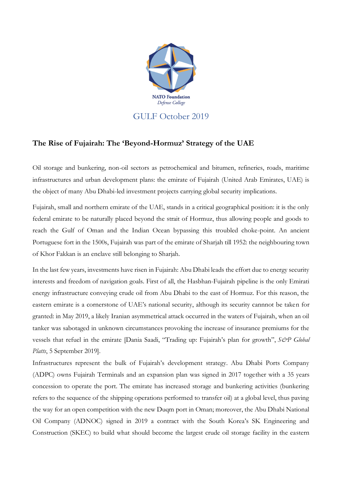

## **The Rise of Fujairah: The 'Beyond-Hormuz' Strategy of the UAE**

Oil storage and bunkering, non-oil sectors as petrochemical and bitumen, refineries, roads, maritime infrastructures and urban development plans: the emirate of Fujairah (United Arab Emirates, UAE) is the object of many Abu Dhabi-led investment projects carrying global security implications.

Fujairah, small and northern emirate of the UAE, stands in a critical geographical position: it is the only federal emirate to be naturally placed beyond the strait of Hormuz, thus allowing people and goods to reach the Gulf of Oman and the Indian Ocean bypassing this troubled choke-point. An ancient Portuguese fort in the 1500s, Fujairah was part of the emirate of Sharjah till 1952: the neighbouring town of Khor Fakkan is an enclave still belonging to Sharjah.

In the last few years, investments have risen in Fujairah: Abu Dhabi leads the effort due to energy security interests and freedom of navigation goals. First of all, the Hasbhan-Fujairah pipeline is the only Emirati energy infrastructure conveying crude oil from Abu Dhabi to the east of Hormuz. For this reason, the eastern emirate is a cornerstone of UAE's national security, although its security cannnot be taken for granted: in May 2019, a likely Iranian asymmetrical attack occurred in the waters of Fujairah, when an oil tanker was sabotaged in unknown circumstances provoking the increase of insurance premiums for the vessels that refuel in the emirate [Dania Saadi, "Trading up: Fujairah's plan for growth", *S&P Global Platts*, 5 September 2019].

Infrastructures represent the bulk of Fujairah's development strategy. Abu Dhabi Ports Company (ADPC) owns Fujairah Terminals and an expansion plan was signed in 2017 together with a 35 years concession to operate the port. The emirate has increased storage and bunkering activities (bunkering refers to the sequence of the shipping operations performed to transfer oil) at a global level, thus paving the way for an open competition with the new Duqm port in Oman; moreover, the Abu Dhabi National Oil Company (ADNOC) signed in 2019 a contract with the South Korea's SK Engineering and Construction (SKEC) to build what should become the largest crude oil storage facility in the eastern